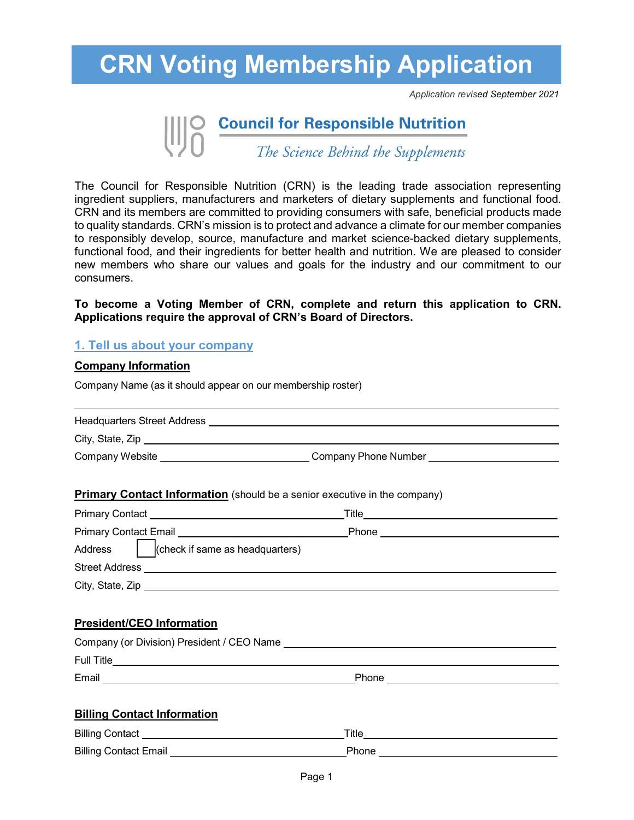*Application revised September 2021*

# **Council for Responsible Nutrition**<br>The Science Behind the Supplements

The Council for Responsible Nutrition (CRN) is the leading trade association representing ingredient suppliers, manufacturers and marketers of dietary supplements and functional food. CRN and its members are committed to providing consumers with safe, beneficial products made to quality standards. CRN's mission is to protect and advance a climate for our member companies to responsibly develop, source, manufacture and market science-backed dietary supplements, functional food, and their ingredients for better health and nutrition. We are pleased to consider new members who share our values and goals for the industry and our commitment to our consumers.

#### **To become a Voting Member of CRN, complete and return this application to CRN. Applications require the approval of CRN's Board of Directors.**

#### **1. Tell us about your company**

#### **Company Information**

Company Name (as it should appear on our membership roster)

| <b>Headquarters Street Address</b> |  |
|------------------------------------|--|
| City, State, Zip                   |  |

Company Website Company Phone Number

#### **Primary Contact Information** (should be a senior executive in the company)

| <b>Primary Contact</b>                                                                                                                                | Title |
|-------------------------------------------------------------------------------------------------------------------------------------------------------|-------|
| <b>Primary Contact Email</b><br><u> Alban Alban (Alban Alban Alban Alban Alban Alban Alban Alban Alban Alban Alban Alban Alban Alban Alban Alban </u> | Phone |
| (check if same as headquarters)<br>Address                                                                                                            |       |
| <b>Street Address</b>                                                                                                                                 |       |
| City, State, Zip                                                                                                                                      |       |

#### **President/CEO Information**

| Company (or Division) President / CEO Name |       |
|--------------------------------------------|-------|
| <b>Full Title</b>                          |       |
| Email                                      | Phone |
|                                            |       |

#### **Billing Contact Information**

| <b>Billing Contact</b>       | Title |
|------------------------------|-------|
| <b>Billing Contact Email</b> | Phone |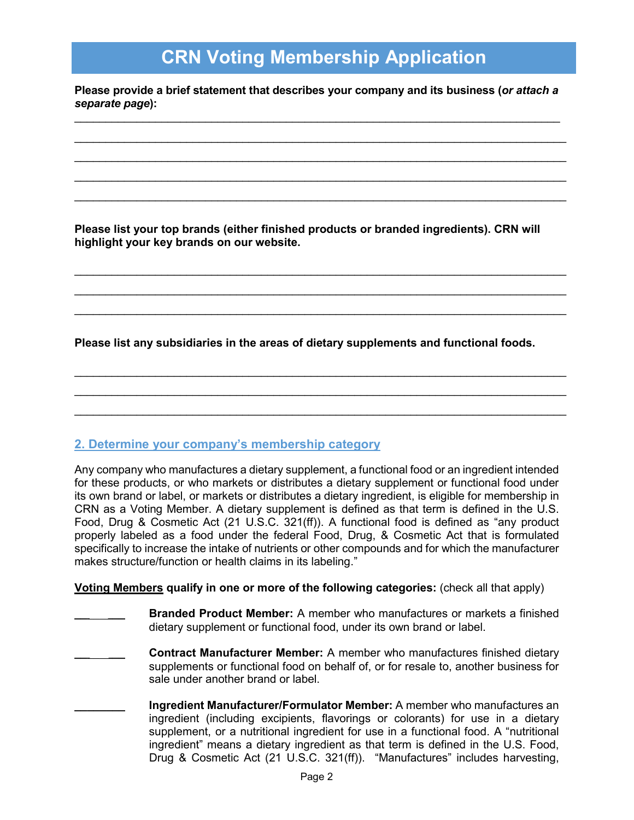**Please provide a brief statement that describes your company and its business (***or attach a separate page***):** \_\_\_\_\_\_\_\_\_\_\_\_\_\_\_\_\_\_\_\_\_\_\_\_\_\_\_\_\_\_\_\_\_\_\_\_\_\_\_\_\_\_\_\_\_\_\_\_\_\_\_\_\_\_\_\_\_\_\_\_\_\_\_\_\_\_\_\_\_\_\_\_\_\_\_\_\_\_

\_\_\_\_\_\_\_\_\_\_\_\_\_\_\_\_\_\_\_\_\_\_\_\_\_\_\_\_\_\_\_\_\_\_\_\_\_\_\_\_\_\_\_\_\_\_\_\_\_\_\_\_\_\_\_\_\_\_\_\_\_\_\_\_\_\_\_\_\_\_\_\_\_\_\_\_\_\_\_  $\overline{\phantom{a}}$  , and the contribution of the contribution of the contribution of the contribution of the contribution of the contribution of the contribution of the contribution of the contribution of the contribution of the  $\overline{\phantom{a}}$  , and the contribution of the contribution of the contribution of the contribution of the contribution of the contribution of the contribution of the contribution of the contribution of the contribution of the \_\_\_\_\_\_\_\_\_\_\_\_\_\_\_\_\_\_\_\_\_\_\_\_\_\_\_\_\_\_\_\_\_\_\_\_\_\_\_\_\_\_\_\_\_\_\_\_\_\_\_\_\_\_\_\_\_\_\_\_\_\_\_\_\_\_\_\_\_\_\_\_\_\_\_\_\_\_\_

**Please list your top brands (either finished products or branded ingredients). CRN will highlight your key brands on our website.** 

 $\mathcal{L}_\text{max}$  , and the contribution of the contribution of the contribution of the contribution of the contribution of the contribution of the contribution of the contribution of the contribution of the contribution of t \_\_\_\_\_\_\_\_\_\_\_\_\_\_\_\_\_\_\_\_\_\_\_\_\_\_\_\_\_\_\_\_\_\_\_\_\_\_\_\_\_\_\_\_\_\_\_\_\_\_\_\_\_\_\_\_\_\_\_\_\_\_\_\_\_\_\_\_\_\_\_\_\_\_\_\_\_\_\_  $\mathcal{L}_\text{max}$  , and the contribution of the contribution of the contribution of the contribution of the contribution of the contribution of the contribution of the contribution of the contribution of the contribution of t

**Please list any subsidiaries in the areas of dietary supplements and functional foods.**

\_\_\_\_\_\_\_\_\_\_\_\_\_\_\_\_\_\_\_\_\_\_\_\_\_\_\_\_\_\_\_\_\_\_\_\_\_\_\_\_\_\_\_\_\_\_\_\_\_\_\_\_\_\_\_\_\_\_\_\_\_\_\_\_\_\_\_\_\_\_\_\_\_\_\_\_\_\_\_  $\mathcal{L}_\text{max}$  , and the contribution of the contribution of the contribution of the contribution of the contribution of the contribution of the contribution of the contribution of the contribution of the contribution of t \_\_\_\_\_\_\_\_\_\_\_\_\_\_\_\_\_\_\_\_\_\_\_\_\_\_\_\_\_\_\_\_\_\_\_\_\_\_\_\_\_\_\_\_\_\_\_\_\_\_\_\_\_\_\_\_\_\_\_\_\_\_\_\_\_\_\_\_\_\_\_\_\_\_\_\_\_\_\_

#### **2. Determine your company's membership category**

Any company who manufactures a dietary supplement, a functional food or an ingredient intended for these products, or who markets or distributes a dietary supplement or functional food under its own brand or label, or markets or distributes a dietary ingredient, is eligible for membership in CRN as a Voting Member. A dietary supplement is defined as that term is defined in the U.S. Food, Drug & Cosmetic Act (21 U.S.C. 321(ff)). A functional food is defined as "any product properly labeled as a food under the federal Food, Drug, & Cosmetic Act that is formulated specifically to increase the intake of nutrients or other compounds and for which the manufacturer makes structure/function or health claims in its labeling."

**Voting Members qualify in one or more of the following categories:** (check all that apply)

- **\_\_\_\_\_\_\_\_ Branded Product Member:** A member who manufactures or markets a finished dietary supplement or functional food, under its own brand or label.
- **\_\_\_\_\_\_\_\_ Contract Manufacturer Member:** A member who manufactures finished dietary supplements or functional food on behalf of, or for resale to, another business for sale under another brand or label.
	- **\_\_\_\_\_\_\_\_ Ingredient Manufacturer/Formulator Member:** A member who manufactures an ingredient (including excipients, flavorings or colorants) for use in a dietary supplement, or a nutritional ingredient for use in a functional food. A "nutritional ingredient" means a dietary ingredient as that term is defined in the U.S. Food, Drug & Cosmetic Act (21 U.S.C. 321(ff)). "Manufactures" includes harvesting,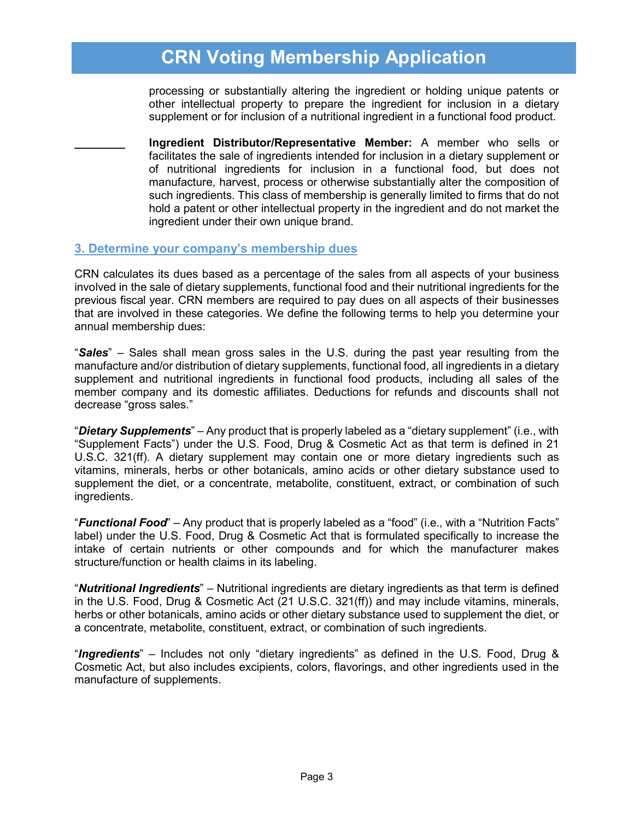processing or substantially altering the ingredient or holding unique patents or other intellectual property to prepare the ingredient for inclusion in a dietary supplement or for inclusion of a nutritional ingredient in a functional food product.

**\_\_\_\_\_\_\_\_ Ingredient Distributor/Representative Member:** A member who sells or facilitates the sale of ingredients intended for inclusion in a dietary supplement or of nutritional ingredients for inclusion in a functional food, but does not manufacture, harvest, process or otherwise substantially alter the composition of such ingredients. This class of membership is generally limited to firms that do not hold a patent or other intellectual property in the ingredient and do not market the ingredient under their own unique brand.

#### **3. Determine your company's membership dues**

CRN calculates its dues based as a percentage of the sales from all aspects of your business involved in the sale of dietary supplements, functional food and their nutritional ingredients for the previous fiscal year. CRN members are required to pay dues on all aspects of their businesses that are involved in these categories. We define the following terms to help you determine your annual membership dues:

"*Sales*" – Sales shall mean gross sales in the U.S. during the past year resulting from the manufacture and/or distribution of dietary supplements, functional food, all ingredients in a dietary supplement and nutritional ingredients in functional food products, including all sales of the member company and its domestic affiliates. Deductions for refunds and discounts shall not decrease "gross sales."

"*Dietary Supplements*" – Any product that is properly labeled as a "dietary supplement" (i.e., with "Supplement Facts") under the U.S. Food, Drug & Cosmetic Act as that term is defined in 21 U.S.C. 321(ff). A dietary supplement may contain one or more dietary ingredients such as vitamins, minerals, herbs or other botanicals, amino acids or other dietary substance used to supplement the diet, or a concentrate, metabolite, constituent, extract, or combination of such ingredients.

"*Functional Food*" – Any product that is properly labeled as a "food" (i.e., with a "Nutrition Facts" label) under the U.S. Food, Drug & Cosmetic Act that is formulated specifically to increase the intake of certain nutrients or other compounds and for which the manufacturer makes structure/function or health claims in its labeling.

"*Nutritional Ingredients*" – Nutritional ingredients are dietary ingredients as that term is defined in the U.S. Food, Drug & Cosmetic Act (21 U.S.C. 321(ff)) and may include vitamins, minerals, herbs or other botanicals, amino acids or other dietary substance used to supplement the diet, or a concentrate, metabolite, constituent, extract, or combination of such ingredients.

"*Ingredients*" – Includes not only "dietary ingredients" as defined in the U.S. Food, Drug & Cosmetic Act, but also includes excipients, colors, flavorings, and other ingredients used in the manufacture of supplements.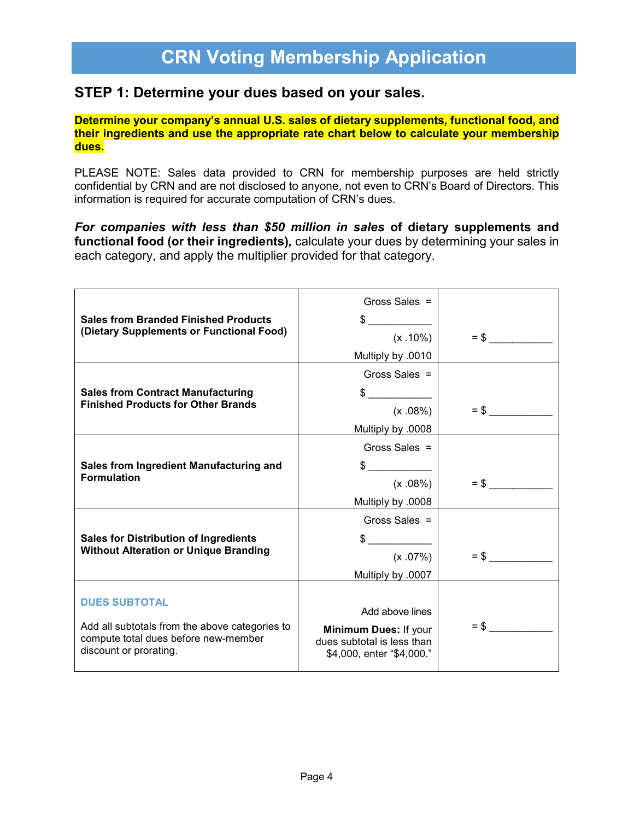#### **STEP 1: Determine your dues based on your sales.**

**Determine your company's annual U.S. sales of dietary supplements, functional food, and their ingredients and use the appropriate rate chart below to calculate your membership dues.**

PLEASE NOTE: Sales data provided to CRN for membership purposes are held strictly confidential by CRN and are not disclosed to anyone, not even to CRN's Board of Directors. This information is required for accurate computation of CRN's dues.

*For companies with less than \$50 million in sales* **of dietary supplements and functional food (or their ingredients)***,* calculate your dues by determining your sales in each category, and apply the multiplier provided for that category.

|                                                                | Gross Sales $=$                                         |        |
|----------------------------------------------------------------|---------------------------------------------------------|--------|
| <b>Sales from Branded Finished Products</b>                    | $\mathbb{S}$                                            |        |
| (Dietary Supplements or Functional Food)                       | $(x .10\%)$                                             | $=$ \$ |
|                                                                | Multiply by .0010                                       |        |
|                                                                | Gross Sales $=$                                         |        |
| <b>Sales from Contract Manufacturing</b>                       | $\frac{1}{2}$                                           |        |
| <b>Finished Products for Other Brands</b>                      | $(x.08\%)$                                              | $=$ \$ |
|                                                                | Multiply by .0008                                       |        |
|                                                                | Gross Sales $=$                                         |        |
| Sales from Ingredient Manufacturing and                        | $\sim$                                                  |        |
| <b>Formulation</b>                                             | $(x.08\%)$                                              | $=$ \$ |
|                                                                | Multiply by .0008                                       |        |
|                                                                | Gross Sales $=$                                         |        |
| <b>Sales for Distribution of Ingredients</b>                   | $\frac{1}{2}$                                           |        |
| <b>Without Alteration or Unique Branding</b>                   | $(x.07\%)$                                              | $=$ \$ |
|                                                                | Multiply by .0007                                       |        |
|                                                                |                                                         |        |
| <b>DUES SUBTOTAL</b>                                           | Add above lines                                         |        |
| Add all subtotals from the above categories to                 | Minimum Dues: If your                                   | $=$ \$ |
| compute total dues before new-member<br>discount or prorating. | dues subtotal is less than<br>\$4,000, enter "\$4,000." |        |
|                                                                |                                                         |        |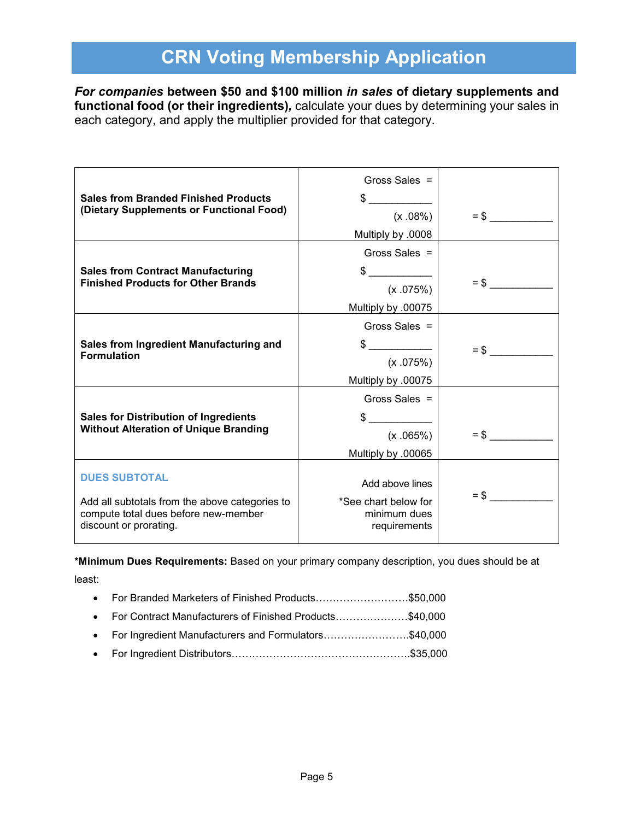*For companies* **between \$50 and \$100 million** *in sales* **of dietary supplements and functional food (or their ingredients)***,* calculate your dues by determining your sales in each category, and apply the multiplier provided for that category.

|                                                                                                                  | Gross Sales $=$                                      |        |
|------------------------------------------------------------------------------------------------------------------|------------------------------------------------------|--------|
| <b>Sales from Branded Finished Products</b>                                                                      | \$                                                   |        |
| (Dietary Supplements or Functional Food)                                                                         | (x.08%)                                              | $=$ \$ |
|                                                                                                                  | Multiply by .0008                                    |        |
|                                                                                                                  | Gross Sales $=$                                      |        |
| <b>Sales from Contract Manufacturing</b><br><b>Finished Products for Other Brands</b>                            | (x .075%)                                            | $=$ \$ |
|                                                                                                                  | Multiply by .00075                                   |        |
|                                                                                                                  | Gross Sales $=$                                      |        |
| Sales from Ingredient Manufacturing and<br><b>Formulation</b>                                                    | $\frac{1}{2}$                                        | $=$ \$ |
|                                                                                                                  | (x.075%)                                             |        |
|                                                                                                                  | Multiply by .00075                                   |        |
|                                                                                                                  | Gross Sales $=$                                      |        |
| <b>Sales for Distribution of Ingredients</b>                                                                     | \$                                                   |        |
| <b>Without Alteration of Unique Branding</b>                                                                     | (x.065%)                                             | $=$ \$ |
|                                                                                                                  | Multiply by .00065                                   |        |
| <b>DUES SUBTOTAL</b>                                                                                             | Add above lines                                      |        |
| Add all subtotals from the above categories to<br>compute total dues before new-member<br>discount or prorating. | *See chart below for<br>minimum dues<br>requirements | $=$ \$ |

**\*Minimum Dues Requirements:** Based on your primary company description, you dues should be at least:

| • For Branded Marketers of Finished Products\$50,000      |  |
|-----------------------------------------------------------|--|
| • For Contract Manufacturers of Finished Products\$40,000 |  |
| • For Ingredient Manufacturers and Formulators\$40,000    |  |
|                                                           |  |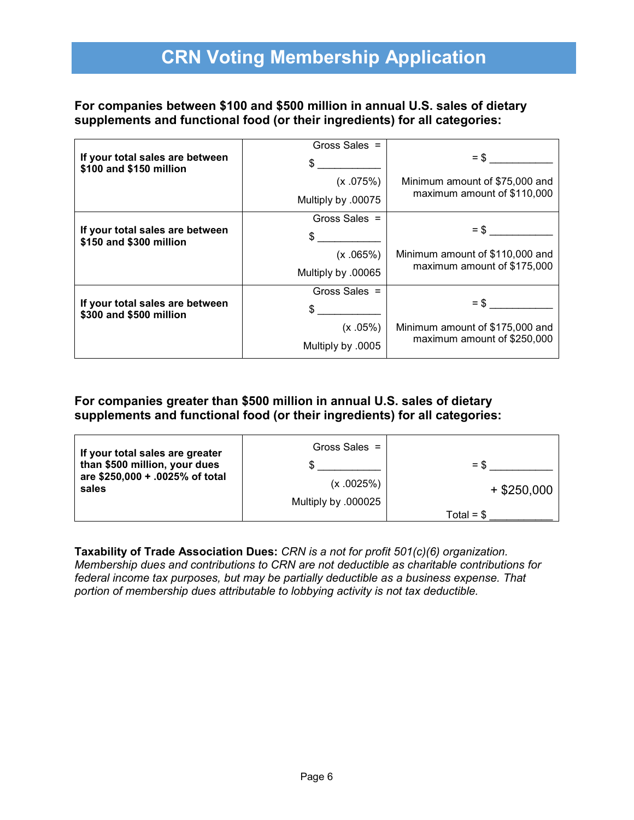#### **For companies between \$100 and \$500 million in annual U.S. sales of dietary supplements and functional food (or their ingredients) for all categories:**

|                                                            | Gross Sales =      |                                 |
|------------------------------------------------------------|--------------------|---------------------------------|
| If your total sales are between<br>\$100 and \$150 million | \$                 | $=$ \$                          |
|                                                            | (x.075%)           | Minimum amount of \$75,000 and  |
|                                                            | Multiply by .00075 | maximum amount of \$110,000     |
|                                                            | Gross Sales $=$    |                                 |
| If your total sales are between<br>\$150 and \$300 million | \$                 | $=$ \$                          |
|                                                            | (x.065%)           | Minimum amount of \$110,000 and |
|                                                            | Multiply by .00065 | maximum amount of \$175,000     |
|                                                            | Gross Sales $=$    |                                 |
| If your total sales are between<br>\$300 and \$500 million | \$                 | $=$ \$                          |
|                                                            | (x.05%)            | Minimum amount of \$175,000 and |
|                                                            | Multiply by .0005  | maximum amount of \$250,000     |

#### **For companies greater than \$500 million in annual U.S. sales of dietary supplements and functional food (or their ingredients) for all categories:**

| If your total sales are greater<br>than \$500 million, your dues<br>are \$250,000 + .0025% of total<br>sales | Gross Sales $=$<br>(x.0025%)<br>Multiply by .000025 | $=$ \$<br>$+$ \$250,000 |
|--------------------------------------------------------------------------------------------------------------|-----------------------------------------------------|-------------------------|
|                                                                                                              |                                                     | Total = $$$             |

**Taxability of Trade Association Dues:** *CRN is a not for profit 501(c)(6) organization. Membership dues and contributions to CRN are not deductible as charitable contributions for federal income tax purposes, but may be partially deductible as a business expense. That portion of membership dues attributable to lobbying activity is not tax deductible.*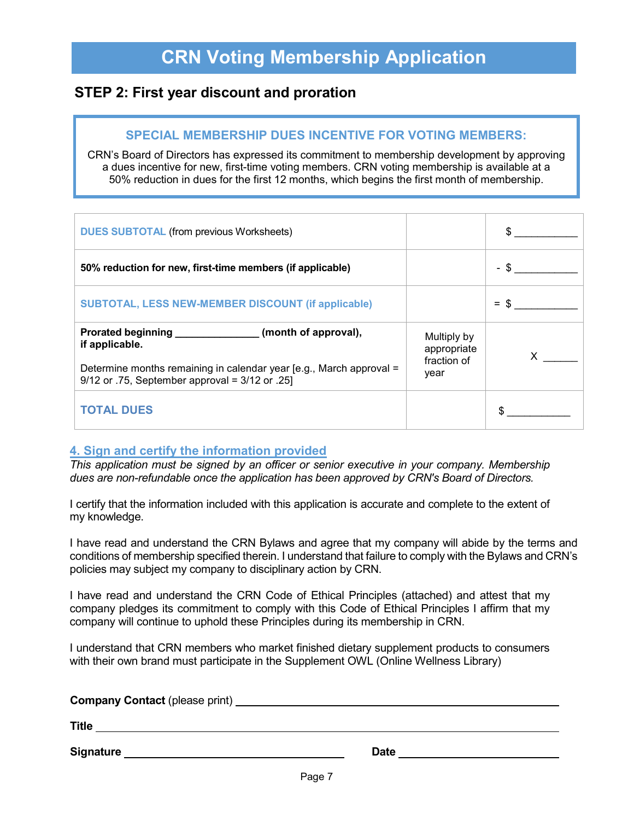### **STEP 2: First year discount and proration**

#### **SPECIAL MEMBERSHIP DUES INCENTIVE FOR VOTING MEMBERS:**

CRN's Board of Directors has expressed its commitment to membership development by approving a dues incentive for new, first-time voting members. CRN voting membership is available at a 50% reduction in dues for the first 12 months, which begins the first month of membership.

| <b>DUES SUBTOTAL (from previous Worksheets)</b>                                                                                                        |                                           |        |
|--------------------------------------------------------------------------------------------------------------------------------------------------------|-------------------------------------------|--------|
| 50% reduction for new, first-time members (if applicable)                                                                                              |                                           | $-$ \$ |
| <b>SUBTOTAL, LESS NEW-MEMBER DISCOUNT (if applicable)</b>                                                                                              |                                           | $=$ \$ |
| Prorated beginning ______________________(month of approval),<br>if applicable.<br>Determine months remaining in calendar year [e.g., March approval = | Multiply by<br>appropriate<br>fraction of |        |
| 9/12 or .75, September approval = $3/12$ or .25]                                                                                                       | year                                      |        |
| <b>TOTAL DUES</b>                                                                                                                                      |                                           |        |

#### **4. Sign and certify the information provided**

*This application must be signed by an officer or senior executive in your company. Membership dues are non-refundable once the application has been approved by CRN's Board of Directors.*

I certify that the information included with this application is accurate and complete to the extent of my knowledge.

I have read and understand the CRN Bylaws and agree that my company will abide by the terms and conditions of membership specified therein. I understand that failure to comply with the Bylaws and CRN's policies may subject my company to disciplinary action by CRN.

I have read and understand the CRN Code of Ethical Principles (attached) and attest that my company pledges its commitment to comply with this Code of Ethical Principles I affirm that my company will continue to uphold these Principles during its membership in CRN.

I understand that CRN members who market finished dietary supplement products to consumers with their own brand must participate in the Supplement OWL (Online Wellness Library)

| <b>Company Contact (please print)</b> |             |  |
|---------------------------------------|-------------|--|
| <b>Title</b>                          |             |  |
| <b>Signature</b>                      | <b>Date</b> |  |